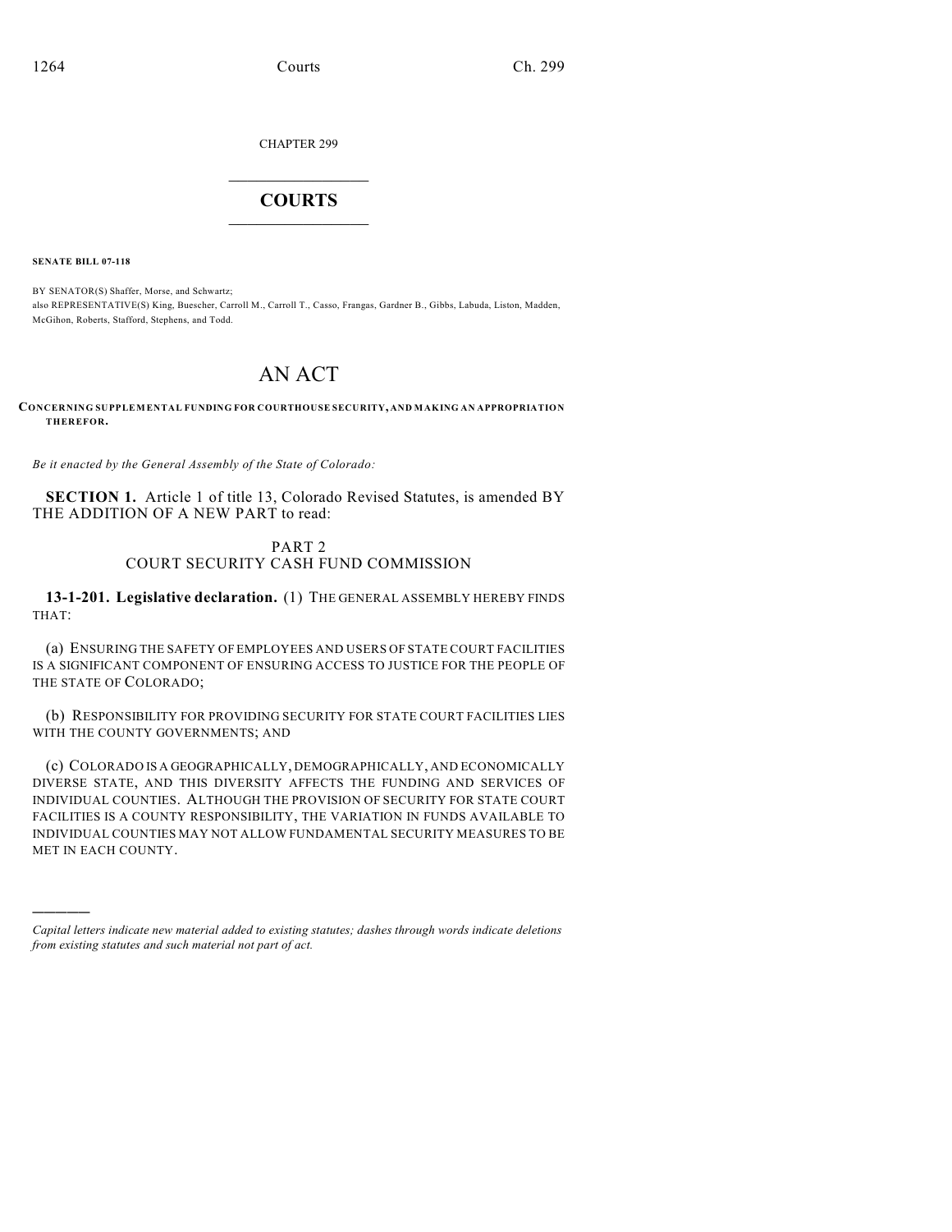CHAPTER 299

## $\mathcal{L}_\text{max}$  . The set of the set of the set of the set of the set of the set of the set of the set of the set of the set of the set of the set of the set of the set of the set of the set of the set of the set of the set **COURTS**  $\_$

**SENATE BILL 07-118**

)))))

BY SENATOR(S) Shaffer, Morse, and Schwartz; also REPRESENTATIVE(S) King, Buescher, Carroll M., Carroll T., Casso, Frangas, Gardner B., Gibbs, Labuda, Liston, Madden, McGihon, Roberts, Stafford, Stephens, and Todd.

# AN ACT

**CONCERNING SUPPLEMENTAL FUNDING FOR COURTHOUSE SECURITY, AND MAKING AN APPROPRIATION THEREFOR.**

*Be it enacted by the General Assembly of the State of Colorado:*

**SECTION 1.** Article 1 of title 13, Colorado Revised Statutes, is amended BY THE ADDITION OF A NEW PART to read:

## PART 2 COURT SECURITY CASH FUND COMMISSION

**13-1-201. Legislative declaration.** (1) THE GENERAL ASSEMBLY HEREBY FINDS THAT:

(a) ENSURING THE SAFETY OF EMPLOYEES AND USERS OF STATE COURT FACILITIES IS A SIGNIFICANT COMPONENT OF ENSURING ACCESS TO JUSTICE FOR THE PEOPLE OF THE STATE OF COLORADO;

(b) RESPONSIBILITY FOR PROVIDING SECURITY FOR STATE COURT FACILITIES LIES WITH THE COUNTY GOVERNMENTS; AND

(c) COLORADO IS A GEOGRAPHICALLY, DEMOGRAPHICALLY, AND ECONOMICALLY DIVERSE STATE, AND THIS DIVERSITY AFFECTS THE FUNDING AND SERVICES OF INDIVIDUAL COUNTIES. ALTHOUGH THE PROVISION OF SECURITY FOR STATE COURT FACILITIES IS A COUNTY RESPONSIBILITY, THE VARIATION IN FUNDS AVAILABLE TO INDIVIDUAL COUNTIES MAY NOT ALLOW FUNDAMENTAL SECURITY MEASURES TO BE MET IN EACH COUNTY.

*Capital letters indicate new material added to existing statutes; dashes through words indicate deletions from existing statutes and such material not part of act.*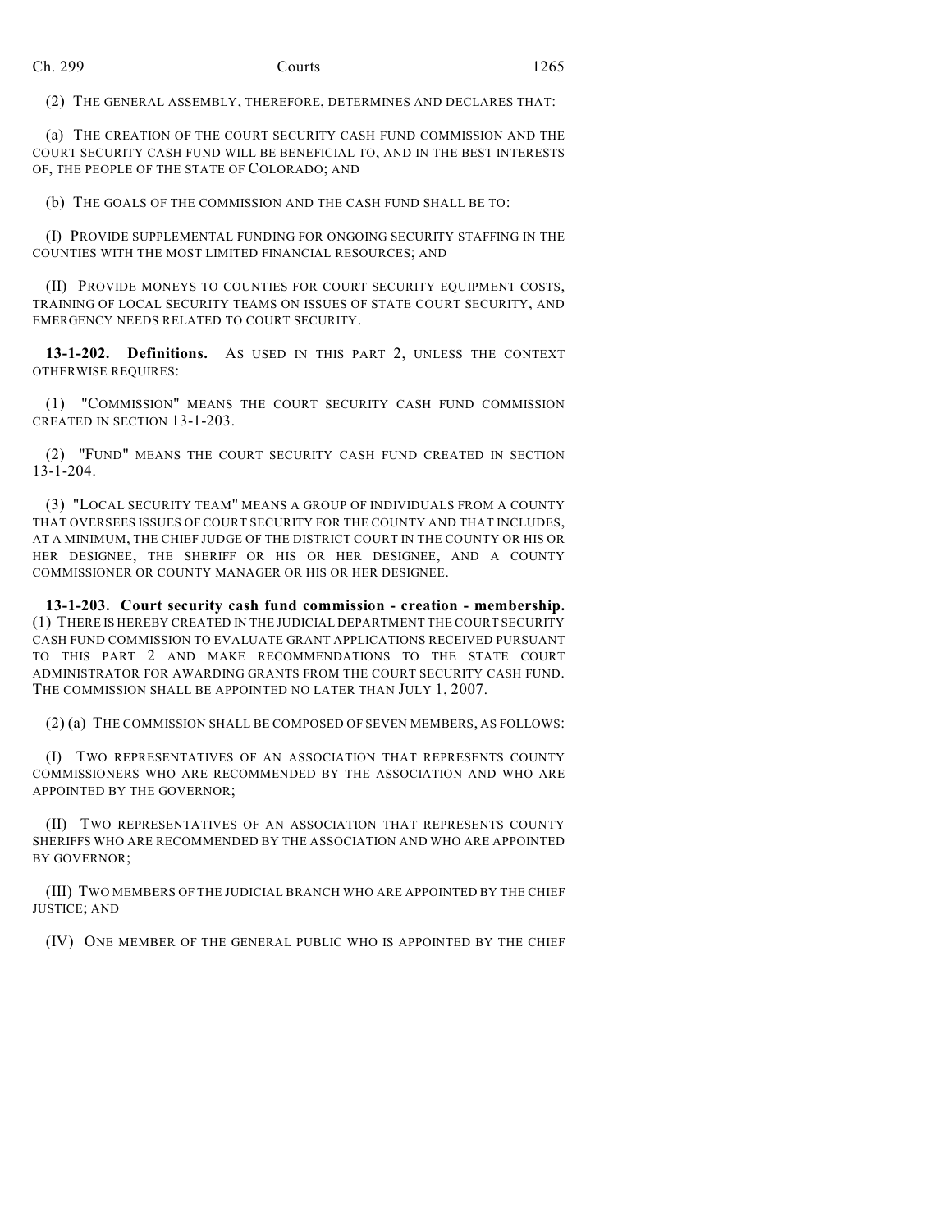(2) THE GENERAL ASSEMBLY, THEREFORE, DETERMINES AND DECLARES THAT:

(a) THE CREATION OF THE COURT SECURITY CASH FUND COMMISSION AND THE COURT SECURITY CASH FUND WILL BE BENEFICIAL TO, AND IN THE BEST INTERESTS OF, THE PEOPLE OF THE STATE OF COLORADO; AND

(b) THE GOALS OF THE COMMISSION AND THE CASH FUND SHALL BE TO:

(I) PROVIDE SUPPLEMENTAL FUNDING FOR ONGOING SECURITY STAFFING IN THE COUNTIES WITH THE MOST LIMITED FINANCIAL RESOURCES; AND

(II) PROVIDE MONEYS TO COUNTIES FOR COURT SECURITY EQUIPMENT COSTS, TRAINING OF LOCAL SECURITY TEAMS ON ISSUES OF STATE COURT SECURITY, AND EMERGENCY NEEDS RELATED TO COURT SECURITY.

13-1-202. Definitions. As USED IN THIS PART 2, UNLESS THE CONTEXT OTHERWISE REQUIRES:

(1) "COMMISSION" MEANS THE COURT SECURITY CASH FUND COMMISSION CREATED IN SECTION 13-1-203.

(2) "FUND" MEANS THE COURT SECURITY CASH FUND CREATED IN SECTION 13-1-204.

(3) "LOCAL SECURITY TEAM" MEANS A GROUP OF INDIVIDUALS FROM A COUNTY THAT OVERSEES ISSUES OF COURT SECURITY FOR THE COUNTY AND THAT INCLUDES, AT A MINIMUM, THE CHIEF JUDGE OF THE DISTRICT COURT IN THE COUNTY OR HIS OR HER DESIGNEE, THE SHERIFF OR HIS OR HER DESIGNEE, AND A COUNTY COMMISSIONER OR COUNTY MANAGER OR HIS OR HER DESIGNEE.

**13-1-203. Court security cash fund commission - creation - membership.** (1) THERE IS HEREBY CREATED IN THE JUDICIAL DEPARTMENT THE COURT SECURITY CASH FUND COMMISSION TO EVALUATE GRANT APPLICATIONS RECEIVED PURSUANT TO THIS PART 2 AND MAKE RECOMMENDATIONS TO THE STATE COURT ADMINISTRATOR FOR AWARDING GRANTS FROM THE COURT SECURITY CASH FUND. THE COMMISSION SHALL BE APPOINTED NO LATER THAN JULY 1, 2007.

(2) (a) THE COMMISSION SHALL BE COMPOSED OF SEVEN MEMBERS, AS FOLLOWS:

(I) TWO REPRESENTATIVES OF AN ASSOCIATION THAT REPRESENTS COUNTY COMMISSIONERS WHO ARE RECOMMENDED BY THE ASSOCIATION AND WHO ARE APPOINTED BY THE GOVERNOR;

(II) TWO REPRESENTATIVES OF AN ASSOCIATION THAT REPRESENTS COUNTY SHERIFFS WHO ARE RECOMMENDED BY THE ASSOCIATION AND WHO ARE APPOINTED BY GOVERNOR;

(III) TWO MEMBERS OF THE JUDICIAL BRANCH WHO ARE APPOINTED BY THE CHIEF JUSTICE; AND

(IV) ONE MEMBER OF THE GENERAL PUBLIC WHO IS APPOINTED BY THE CHIEF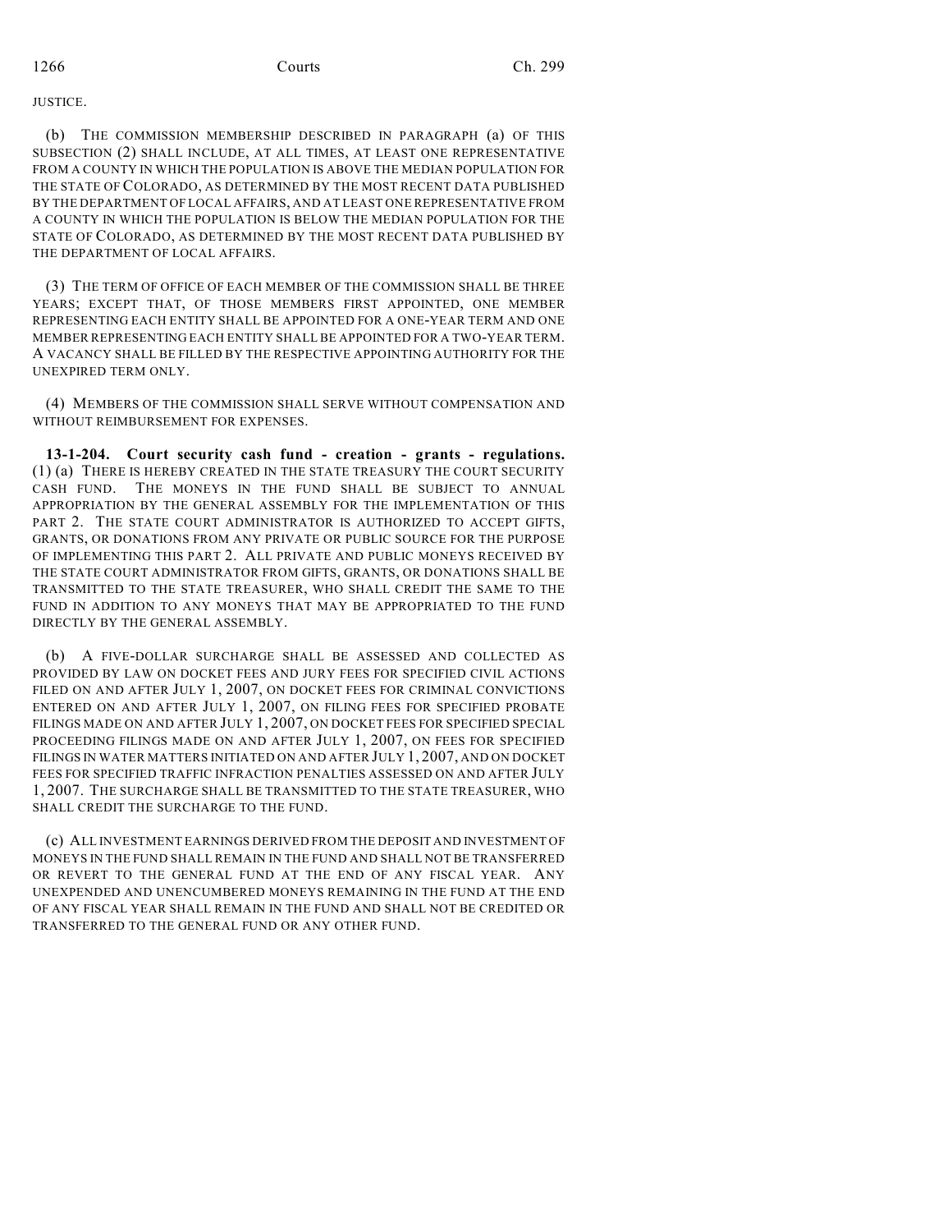### **HISTICE.**

(b) THE COMMISSION MEMBERSHIP DESCRIBED IN PARAGRAPH (a) OF THIS SUBSECTION (2) SHALL INCLUDE, AT ALL TIMES, AT LEAST ONE REPRESENTATIVE FROM A COUNTY IN WHICH THE POPULATION IS ABOVE THE MEDIAN POPULATION FOR THE STATE OF COLORADO, AS DETERMINED BY THE MOST RECENT DATA PUBLISHED BY THE DEPARTMENT OF LOCAL AFFAIRS, AND AT LEAST ONE REPRESENTATIVE FROM A COUNTY IN WHICH THE POPULATION IS BELOW THE MEDIAN POPULATION FOR THE STATE OF COLORADO, AS DETERMINED BY THE MOST RECENT DATA PUBLISHED BY THE DEPARTMENT OF LOCAL AFFAIRS.

(3) THE TERM OF OFFICE OF EACH MEMBER OF THE COMMISSION SHALL BE THREE YEARS; EXCEPT THAT, OF THOSE MEMBERS FIRST APPOINTED, ONE MEMBER REPRESENTING EACH ENTITY SHALL BE APPOINTED FOR A ONE-YEAR TERM AND ONE MEMBER REPRESENTING EACH ENTITY SHALL BE APPOINTED FOR A TWO-YEAR TERM. A VACANCY SHALL BE FILLED BY THE RESPECTIVE APPOINTING AUTHORITY FOR THE UNEXPIRED TERM ONLY.

(4) MEMBERS OF THE COMMISSION SHALL SERVE WITHOUT COMPENSATION AND WITHOUT REIMBURSEMENT FOR EXPENSES.

**13-1-204. Court security cash fund - creation - grants - regulations.** (1) (a) THERE IS HEREBY CREATED IN THE STATE TREASURY THE COURT SECURITY CASH FUND. THE MONEYS IN THE FUND SHALL BE SUBJECT TO ANNUAL APPROPRIATION BY THE GENERAL ASSEMBLY FOR THE IMPLEMENTATION OF THIS PART 2. THE STATE COURT ADMINISTRATOR IS AUTHORIZED TO ACCEPT GIFTS, GRANTS, OR DONATIONS FROM ANY PRIVATE OR PUBLIC SOURCE FOR THE PURPOSE OF IMPLEMENTING THIS PART 2. ALL PRIVATE AND PUBLIC MONEYS RECEIVED BY THE STATE COURT ADMINISTRATOR FROM GIFTS, GRANTS, OR DONATIONS SHALL BE TRANSMITTED TO THE STATE TREASURER, WHO SHALL CREDIT THE SAME TO THE FUND IN ADDITION TO ANY MONEYS THAT MAY BE APPROPRIATED TO THE FUND DIRECTLY BY THE GENERAL ASSEMBLY.

(b) A FIVE-DOLLAR SURCHARGE SHALL BE ASSESSED AND COLLECTED AS PROVIDED BY LAW ON DOCKET FEES AND JURY FEES FOR SPECIFIED CIVIL ACTIONS FILED ON AND AFTER JULY 1, 2007, ON DOCKET FEES FOR CRIMINAL CONVICTIONS ENTERED ON AND AFTER JULY 1, 2007, ON FILING FEES FOR SPECIFIED PROBATE FILINGS MADE ON AND AFTER JULY 1, 2007, ON DOCKET FEES FOR SPECIFIED SPECIAL PROCEEDING FILINGS MADE ON AND AFTER JULY 1, 2007, ON FEES FOR SPECIFIED FILINGS IN WATER MATTERS INITIATED ON AND AFTER JULY 1, 2007, AND ON DOCKET FEES FOR SPECIFIED TRAFFIC INFRACTION PENALTIES ASSESSED ON AND AFTER JULY 1, 2007. THE SURCHARGE SHALL BE TRANSMITTED TO THE STATE TREASURER, WHO SHALL CREDIT THE SURCHARGE TO THE FUND.

(c) ALL INVESTMENT EARNINGS DERIVED FROM THE DEPOSIT AND INVESTMENT OF MONEYS IN THE FUND SHALL REMAIN IN THE FUND AND SHALL NOT BE TRANSFERRED OR REVERT TO THE GENERAL FUND AT THE END OF ANY FISCAL YEAR. ANY UNEXPENDED AND UNENCUMBERED MONEYS REMAINING IN THE FUND AT THE END OF ANY FISCAL YEAR SHALL REMAIN IN THE FUND AND SHALL NOT BE CREDITED OR TRANSFERRED TO THE GENERAL FUND OR ANY OTHER FUND.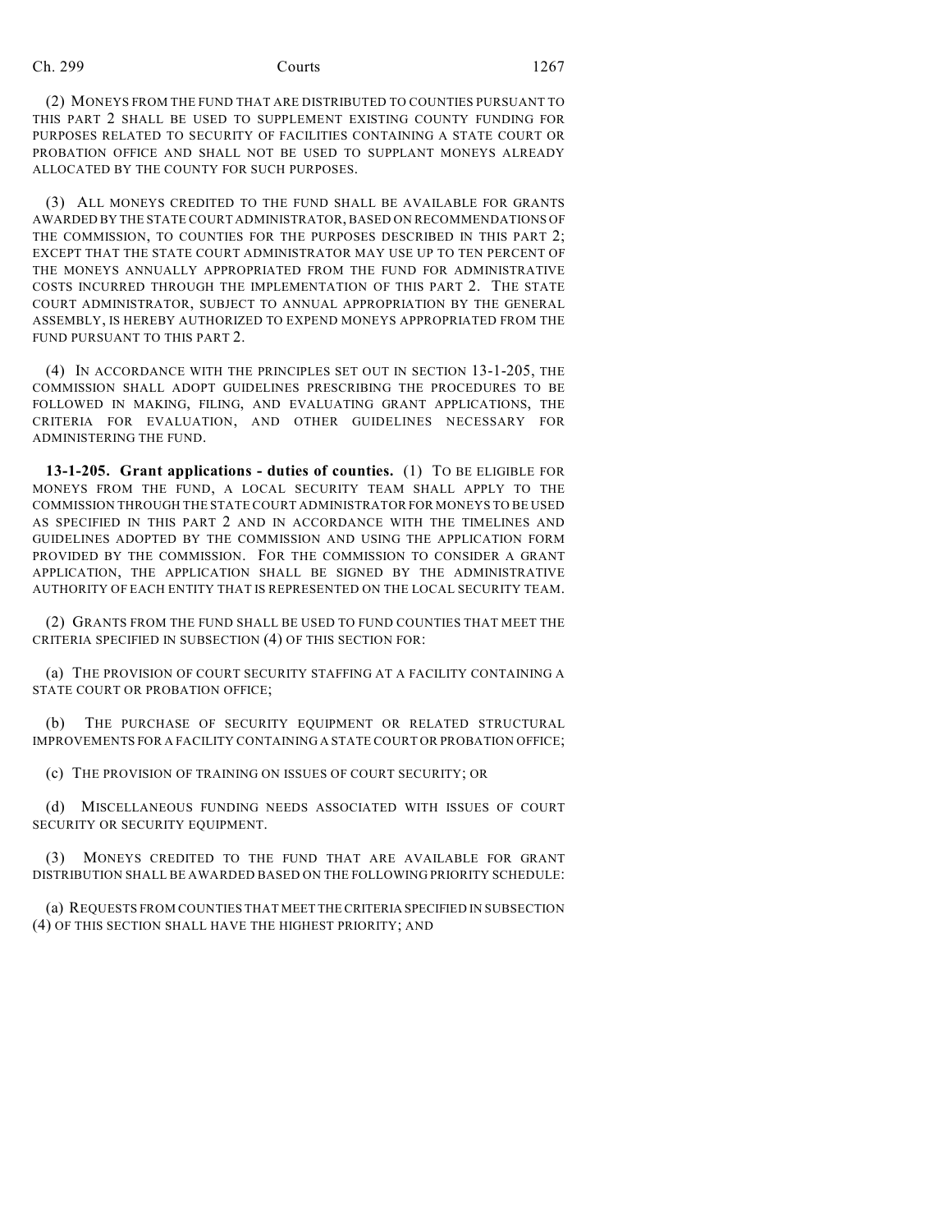(2) MONEYS FROM THE FUND THAT ARE DISTRIBUTED TO COUNTIES PURSUANT TO THIS PART 2 SHALL BE USED TO SUPPLEMENT EXISTING COUNTY FUNDING FOR PURPOSES RELATED TO SECURITY OF FACILITIES CONTAINING A STATE COURT OR PROBATION OFFICE AND SHALL NOT BE USED TO SUPPLANT MONEYS ALREADY ALLOCATED BY THE COUNTY FOR SUCH PURPOSES.

(3) ALL MONEYS CREDITED TO THE FUND SHALL BE AVAILABLE FOR GRANTS AWARDED BY THE STATE COURT ADMINISTRATOR, BASED ON RECOMMENDATIONS OF THE COMMISSION, TO COUNTIES FOR THE PURPOSES DESCRIBED IN THIS PART 2; EXCEPT THAT THE STATE COURT ADMINISTRATOR MAY USE UP TO TEN PERCENT OF THE MONEYS ANNUALLY APPROPRIATED FROM THE FUND FOR ADMINISTRATIVE COSTS INCURRED THROUGH THE IMPLEMENTATION OF THIS PART 2. THE STATE COURT ADMINISTRATOR, SUBJECT TO ANNUAL APPROPRIATION BY THE GENERAL ASSEMBLY, IS HEREBY AUTHORIZED TO EXPEND MONEYS APPROPRIATED FROM THE FUND PURSUANT TO THIS PART 2.

(4) IN ACCORDANCE WITH THE PRINCIPLES SET OUT IN SECTION 13-1-205, THE COMMISSION SHALL ADOPT GUIDELINES PRESCRIBING THE PROCEDURES TO BE FOLLOWED IN MAKING, FILING, AND EVALUATING GRANT APPLICATIONS, THE CRITERIA FOR EVALUATION, AND OTHER GUIDELINES NECESSARY FOR ADMINISTERING THE FUND.

**13-1-205. Grant applications - duties of counties.** (1) TO BE ELIGIBLE FOR MONEYS FROM THE FUND, A LOCAL SECURITY TEAM SHALL APPLY TO THE COMMISSION THROUGH THE STATE COURT ADMINISTRATOR FOR MONEYS TO BE USED AS SPECIFIED IN THIS PART 2 AND IN ACCORDANCE WITH THE TIMELINES AND GUIDELINES ADOPTED BY THE COMMISSION AND USING THE APPLICATION FORM PROVIDED BY THE COMMISSION. FOR THE COMMISSION TO CONSIDER A GRANT APPLICATION, THE APPLICATION SHALL BE SIGNED BY THE ADMINISTRATIVE AUTHORITY OF EACH ENTITY THAT IS REPRESENTED ON THE LOCAL SECURITY TEAM.

(2) GRANTS FROM THE FUND SHALL BE USED TO FUND COUNTIES THAT MEET THE CRITERIA SPECIFIED IN SUBSECTION (4) OF THIS SECTION FOR:

(a) THE PROVISION OF COURT SECURITY STAFFING AT A FACILITY CONTAINING A STATE COURT OR PROBATION OFFICE;

(b) THE PURCHASE OF SECURITY EQUIPMENT OR RELATED STRUCTURAL IMPROVEMENTS FOR A FACILITY CONTAINING A STATE COURT OR PROBATION OFFICE;

(c) THE PROVISION OF TRAINING ON ISSUES OF COURT SECURITY; OR

(d) MISCELLANEOUS FUNDING NEEDS ASSOCIATED WITH ISSUES OF COURT SECURITY OR SECURITY EQUIPMENT.

(3) MONEYS CREDITED TO THE FUND THAT ARE AVAILABLE FOR GRANT DISTRIBUTION SHALL BE AWARDED BASED ON THE FOLLOWING PRIORITY SCHEDULE:

(a) REQUESTS FROM COUNTIES THAT MEET THE CRITERIA SPECIFIED IN SUBSECTION (4) OF THIS SECTION SHALL HAVE THE HIGHEST PRIORITY; AND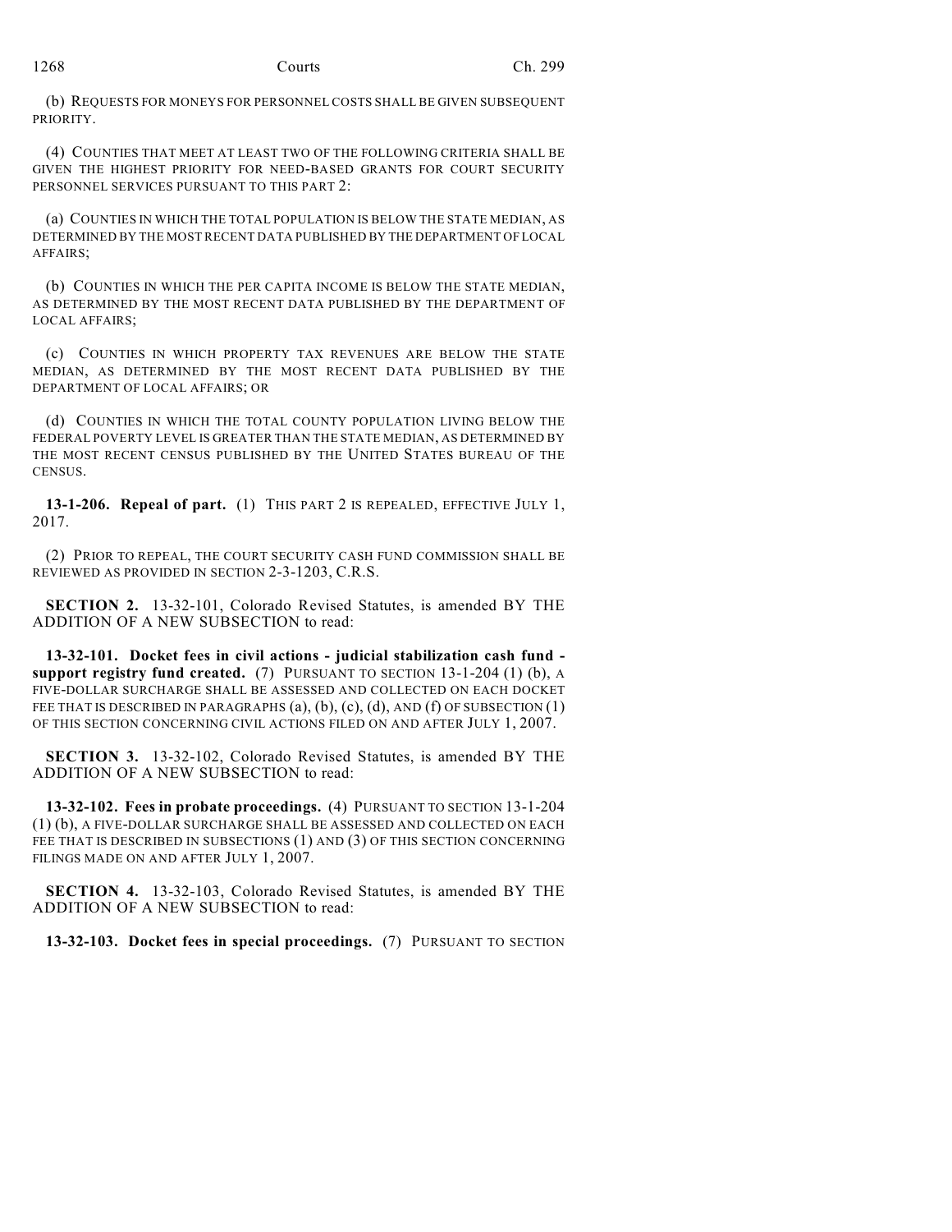(b) REQUESTS FOR MONEYS FOR PERSONNEL COSTS SHALL BE GIVEN SUBSEQUENT PRIORITY.

(4) COUNTIES THAT MEET AT LEAST TWO OF THE FOLLOWING CRITERIA SHALL BE GIVEN THE HIGHEST PRIORITY FOR NEED-BASED GRANTS FOR COURT SECURITY PERSONNEL SERVICES PURSUANT TO THIS PART 2:

(a) COUNTIES IN WHICH THE TOTAL POPULATION IS BELOW THE STATE MEDIAN, AS DETERMINED BY THE MOST RECENT DATA PUBLISHED BY THE DEPARTMENT OF LOCAL AFFAIRS;

(b) COUNTIES IN WHICH THE PER CAPITA INCOME IS BELOW THE STATE MEDIAN, AS DETERMINED BY THE MOST RECENT DATA PUBLISHED BY THE DEPARTMENT OF LOCAL AFFAIRS;

(c) COUNTIES IN WHICH PROPERTY TAX REVENUES ARE BELOW THE STATE MEDIAN, AS DETERMINED BY THE MOST RECENT DATA PUBLISHED BY THE DEPARTMENT OF LOCAL AFFAIRS; OR

(d) COUNTIES IN WHICH THE TOTAL COUNTY POPULATION LIVING BELOW THE FEDERAL POVERTY LEVEL IS GREATER THAN THE STATE MEDIAN, AS DETERMINED BY THE MOST RECENT CENSUS PUBLISHED BY THE UNITED STATES BUREAU OF THE CENSUS.

**13-1-206. Repeal of part.** (1) THIS PART 2 IS REPEALED, EFFECTIVE JULY 1, 2017.

(2) PRIOR TO REPEAL, THE COURT SECURITY CASH FUND COMMISSION SHALL BE REVIEWED AS PROVIDED IN SECTION 2-3-1203, C.R.S.

**SECTION 2.** 13-32-101, Colorado Revised Statutes, is amended BY THE ADDITION OF A NEW SUBSECTION to read:

**13-32-101. Docket fees in civil actions - judicial stabilization cash fund support registry fund created.** (7) PURSUANT TO SECTION 13-1-204 (1) (b), A FIVE-DOLLAR SURCHARGE SHALL BE ASSESSED AND COLLECTED ON EACH DOCKET FEE THAT IS DESCRIBED IN PARAGRAPHS (a), (b), (c), (d), AND (f) OF SUBSECTION (1) OF THIS SECTION CONCERNING CIVIL ACTIONS FILED ON AND AFTER JULY 1, 2007.

**SECTION 3.** 13-32-102, Colorado Revised Statutes, is amended BY THE ADDITION OF A NEW SUBSECTION to read:

**13-32-102. Fees in probate proceedings.** (4) PURSUANT TO SECTION 13-1-204 (1) (b), A FIVE-DOLLAR SURCHARGE SHALL BE ASSESSED AND COLLECTED ON EACH FEE THAT IS DESCRIBED IN SUBSECTIONS (1) AND (3) OF THIS SECTION CONCERNING FILINGS MADE ON AND AFTER JULY 1, 2007.

**SECTION 4.** 13-32-103, Colorado Revised Statutes, is amended BY THE ADDITION OF A NEW SUBSECTION to read:

**13-32-103. Docket fees in special proceedings.** (7) PURSUANT TO SECTION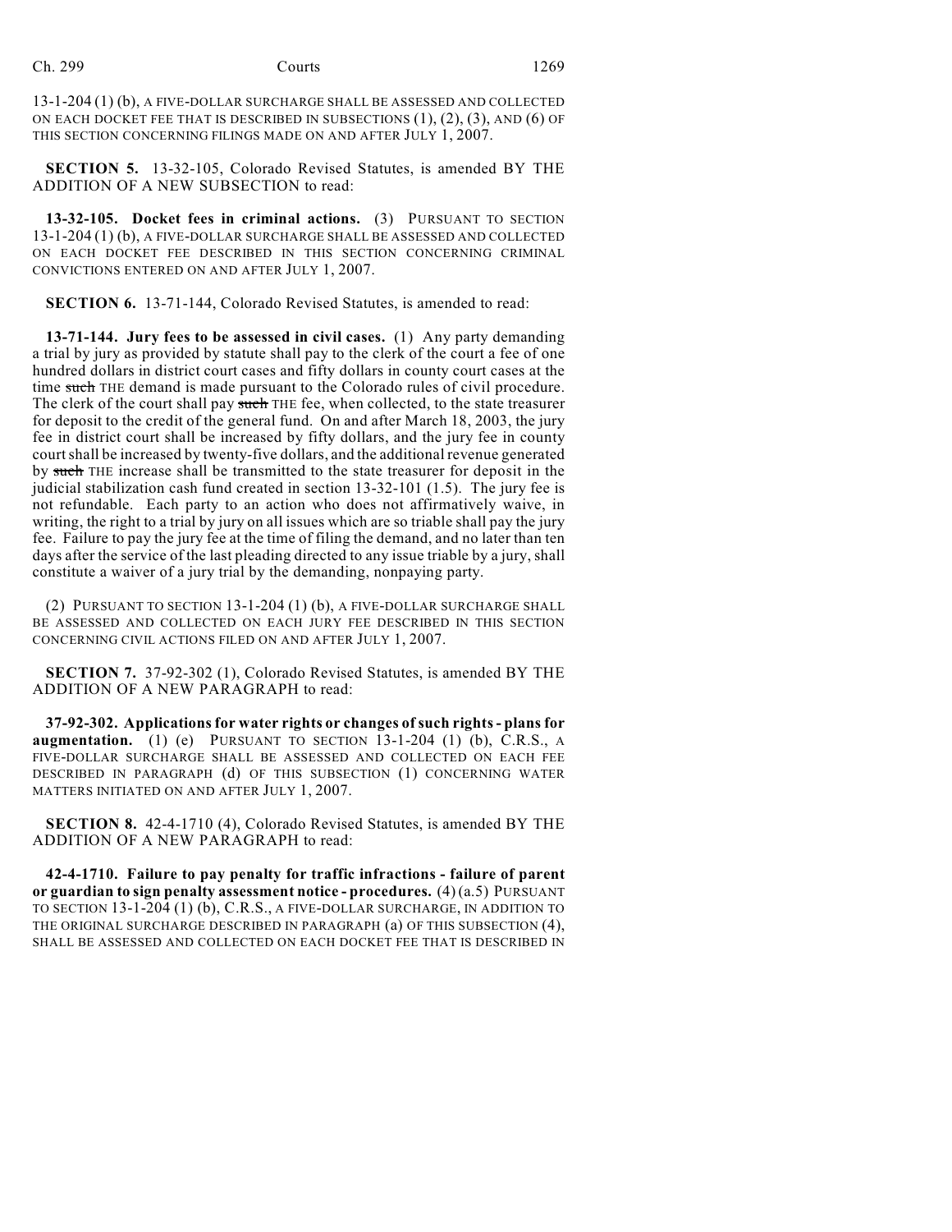13-1-204 (1) (b), A FIVE-DOLLAR SURCHARGE SHALL BE ASSESSED AND COLLECTED ON EACH DOCKET FEE THAT IS DESCRIBED IN SUBSECTIONS  $(1)$ ,  $(2)$ ,  $(3)$ , AND  $(6)$  OF THIS SECTION CONCERNING FILINGS MADE ON AND AFTER JULY 1, 2007.

**SECTION 5.** 13-32-105, Colorado Revised Statutes, is amended BY THE ADDITION OF A NEW SUBSECTION to read:

**13-32-105. Docket fees in criminal actions.** (3) PURSUANT TO SECTION 13-1-204 (1) (b), A FIVE-DOLLAR SURCHARGE SHALL BE ASSESSED AND COLLECTED ON EACH DOCKET FEE DESCRIBED IN THIS SECTION CONCERNING CRIMINAL CONVICTIONS ENTERED ON AND AFTER JULY 1, 2007.

**SECTION 6.** 13-71-144, Colorado Revised Statutes, is amended to read:

**13-71-144. Jury fees to be assessed in civil cases.** (1) Any party demanding a trial by jury as provided by statute shall pay to the clerk of the court a fee of one hundred dollars in district court cases and fifty dollars in county court cases at the time such THE demand is made pursuant to the Colorado rules of civil procedure. The clerk of the court shall pay such THE fee, when collected, to the state treasurer for deposit to the credit of the general fund. On and after March 18, 2003, the jury fee in district court shall be increased by fifty dollars, and the jury fee in county court shall be increased by twenty-five dollars, and the additional revenue generated by such THE increase shall be transmitted to the state treasurer for deposit in the judicial stabilization cash fund created in section 13-32-101 (1.5). The jury fee is not refundable. Each party to an action who does not affirmatively waive, in writing, the right to a trial by jury on all issues which are so triable shall pay the jury fee. Failure to pay the jury fee at the time of filing the demand, and no later than ten days after the service of the last pleading directed to any issue triable by a jury, shall constitute a waiver of a jury trial by the demanding, nonpaying party.

(2) PURSUANT TO SECTION 13-1-204 (1) (b), A FIVE-DOLLAR SURCHARGE SHALL BE ASSESSED AND COLLECTED ON EACH JURY FEE DESCRIBED IN THIS SECTION CONCERNING CIVIL ACTIONS FILED ON AND AFTER JULY 1, 2007.

**SECTION 7.** 37-92-302 (1), Colorado Revised Statutes, is amended BY THE ADDITION OF A NEW PARAGRAPH to read:

**37-92-302. Applications for water rights or changes of such rights - plans for augmentation.** (1) (e) PURSUANT TO SECTION 13-1-204 (1) (b), C.R.S., A FIVE-DOLLAR SURCHARGE SHALL BE ASSESSED AND COLLECTED ON EACH FEE DESCRIBED IN PARAGRAPH (d) OF THIS SUBSECTION (1) CONCERNING WATER MATTERS INITIATED ON AND AFTER JULY 1, 2007.

**SECTION 8.** 42-4-1710 (4), Colorado Revised Statutes, is amended BY THE ADDITION OF A NEW PARAGRAPH to read:

**42-4-1710. Failure to pay penalty for traffic infractions - failure of parent or guardian to sign penalty assessment notice - procedures.** (4) (a.5) PURSUANT TO SECTION 13-1-204 (1) (b), C.R.S., A FIVE-DOLLAR SURCHARGE, IN ADDITION TO THE ORIGINAL SURCHARGE DESCRIBED IN PARAGRAPH (a) OF THIS SUBSECTION (4), SHALL BE ASSESSED AND COLLECTED ON EACH DOCKET FEE THAT IS DESCRIBED IN